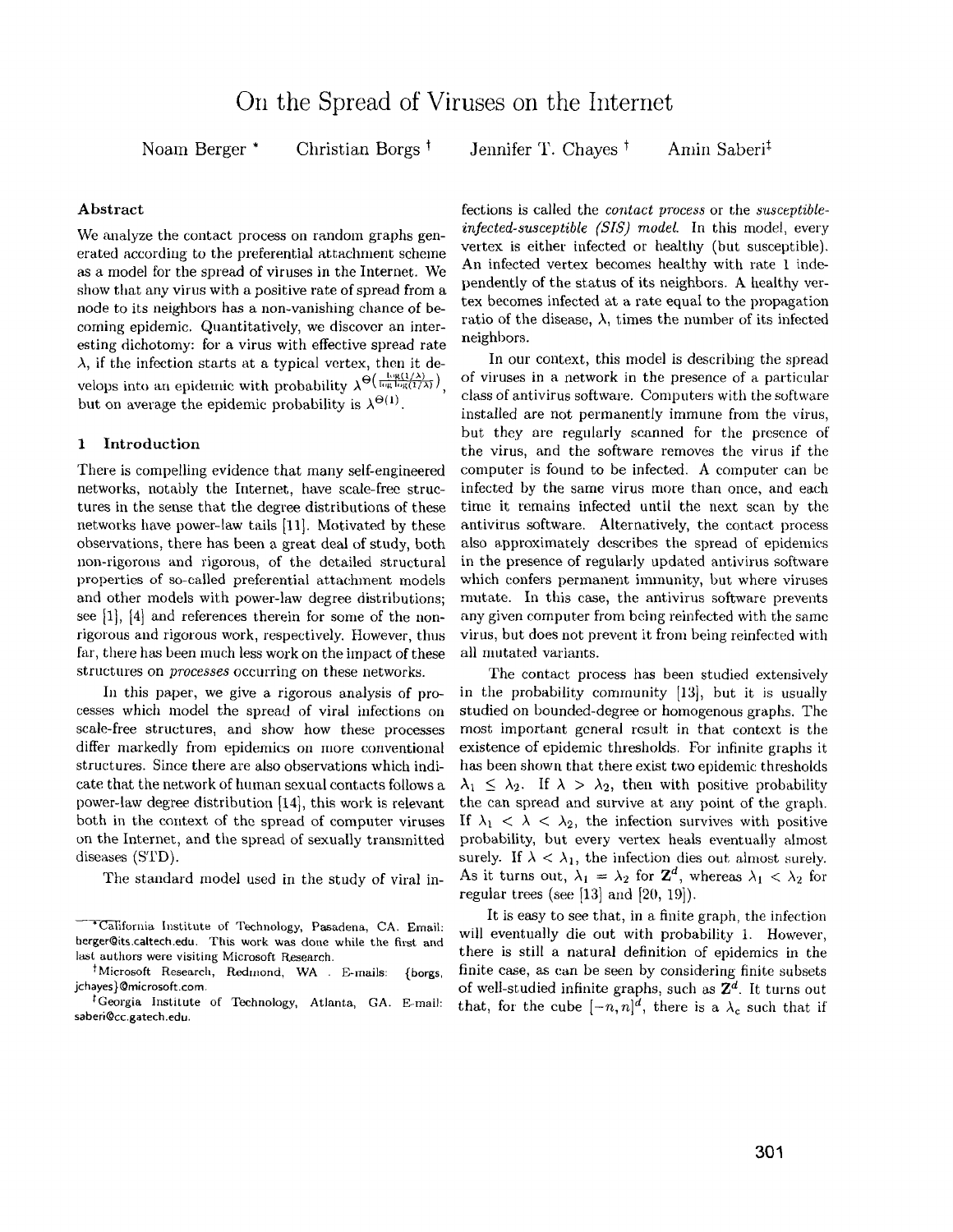Noam Berger \* Christian Borgs t

Jennifer T. Chayes<sup>†</sup> Amin Saberi<sup>‡</sup>

## Abstract

We analyze the contact process on random graphs generated according to the preferential attachment scheme as a model for the spread of viruses in the Internet. We show that any virus with a positive rate of spread from a node to its neighbors has a non-vanishing chance of becoming epidemic. Quantitatively, we discover an interesting dichotomy: for a virus with effective spread rate  $\lambda$ , if the infection starts at a typical vertex, then it develops into an epidemic with probability  $\lambda^{\Theta\left(\frac{\log(1/\lambda)}{\log\log(1/\lambda)}\right)}$ . but on average the epidemic probability is  $\lambda^{\Theta(1)}$ .

## 1 Introduction

There is compelling evidence that many self-engineered networks, notably the Internet, have scale-free structures in the sense that the degree distributions of these networks have power-law tails [11]. Motivated by these observations, there has been a great deal of study, both non-rigorous and rigorous, of the detailed structural properties of so-called preferential attachment models and other models with power-law degree distributions; see [1], [4] and references therein for some of the nonrigorous and rigorous work, respectively. However, thus far, there has been much less work on the impact of these structures on *processes* occurring on these networks.

In this paper, we give a rigorous analysis of processes which model the spread of viral infections on scale-free structures, and show how these processes differ markedly from epidemics on more conventional structures. Since there are also observations which indicate that the network of human sexual contacts follows a power-law degree distribution [14], this work is relevant both in the context of the spread of computer viruses on the Internet, and the spread of sexually transmitted diseases (STD).

The standard model used in the study of viral in-

fections is called the *contact process* or the *susceptibleinfected-susceptible (SIS) model.* In this model, every vertex is either infected or healthy (but susceptible). An infected vertex becomes healthy with rate 1 independently of the status of its neighbors. A healthy vertex becomes infected at a rate equal to the propagation ratio of the disease,  $\lambda$ , times the number of its infected neighbors.

In our context, this model is describing the spread of viruses in a network in the presence of a particular class of antivirus software. Computers with the software installed are not permanently immune from the virus, but they are regularly scanned for the presence of the virus, and the software removes the virus if the computer is found to be infected. A computer can be infected by the same virus more than once, and each time it remains infected until the next scan by the antivirus software. Alternatively, the contact process also approximately describes the spread of epidemies in the presence of regularly updated antivirus software which confers permanent immunity, but where viruses mutate. In this case, the antivirus software prevents any given computer from being reinfected with the same virus, but does not prevent it from being reinfeeted with all mutated variants.

The contact process has been studied extensively in the probability community  $[13]$ , but it is usually studied on bounded-degree or homogenous graphs. The most important general result in that context is the existence of epidemic thresholds. For infinite graphs it has been shown that there exist two epidemic thresholds  $\lambda_1 \leq \lambda_2$ . If  $\lambda > \lambda_2$ , then with positive probability the can spread and survive at any point of the graph. If  $\lambda_1 < \lambda < \lambda_2$ , the infection survives with positive probability, but every vertex heals eventually almost surely. If  $\lambda < \lambda_1$ , the infection dies out almost surely. As it turns out,  $\lambda_1 = \lambda_2$  for  $\mathbb{Z}^d$ , whereas  $\lambda_1 < \lambda_2$  for regular trees (see [13] and  $[20, 19]$ ).

It is easy to see that, in a finite graph, the infection will eventually die out with probability 1. However, there is still a natural definition of epidemics in the finite case, as can be seen by considering finite subsets of well-studied infinite graphs, such as *Zd.* It turns out that, for the cube  $[-n, n]^d$ , there is a  $\lambda_c$  such that if

California Institute of Technology, Pasadena, CA. Email: berger@its.cattech.edu. This work was done while the first and last authors were visiting Microsoft Research.

tMicrosoft Research, Redmond, WA E-rnails; {borgs, jchayes}@microsoft.com.

t Georgia Institute of Technology, Atlanta, GA. E-mail; saberi@cc.gatech.edu.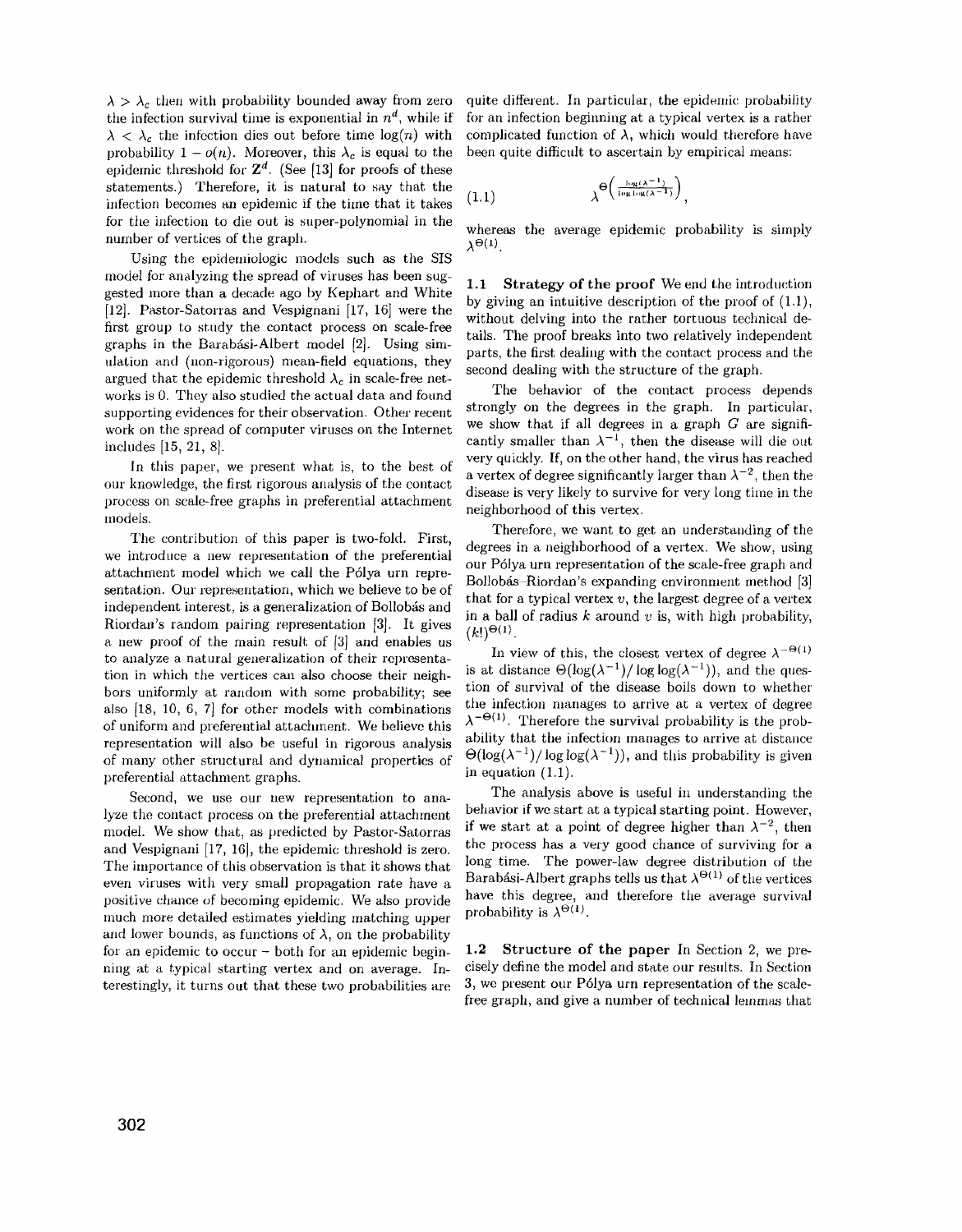$\lambda > \lambda_c$  then with probability bounded away from zero the infection survival time is exponential in  $n^d$ , while if  $\lambda < \lambda_c$  the infection dies out before time  $\log(n)$  with probability  $1 - o(n)$ . Moreover, this  $\lambda_c$  is equal to the epidemic threshold for  $\mathbb{Z}^d$ . (See [13] for proofs of these statements.) Therefore, it is natural to say that the infection becomes an epidemic if the time that it takes for the infection to die out is super-polynomial in the number of vertices of the graph.

Using the epidemiologic models such as the SIS model for analyzing the spread of viruses has been suggested more than a decade ago by Kephart and White [12]. Pastor-Satorras and Vespignani [17, 16] were the first group to study the contact process on scale-free graphs in the Barabási-Albert model [2]. Using simulation and (uon-rigorous) mean-field equations, they argued that the epidemic threshold  $\lambda_c$  in scale-free networks is O. They also studied the actual data and found supporting evidences for their observation. Other recent work on the spread of computer viruses on the Internet includes [15, 21, 8].

In this paper, we present what is, to the best of our knowledge, the first rigorous analysis of the contact process on scale-free graphs in preferential attachment models.

The contribution of this paper is two-fold. First, we introduce a new representation of the preferential attachment model which we call the P61ya urn representation. Our representation, which we believe to be of independent interest, is a generalization of Bollobás and Riordan's random pairing representation [3]. It gives a new proof of the main result of [3] and enables us to analyze a natural generalization of their representation in which the vertices can also choose their neighbors uniformly at random with some probability; see also [18, 10, 6, 7] for other models with combinations of uniform and preferential attachment. We believe this representation will also be useful in rigorous analysis of many other structural and dynamical properties of preferential attachment graphs.

Second, we use our new representation to analyze the contact process on the preferential attachment model. We show that, as predicted by Pastor-Satorras and Vespignani [17, 16], the epidemic threshold is zero. The importance of this observation is that it shows that even viruses with very smail propagation rate have a positive chance of becoming epidemic. We also provide much more detailed estimates yielding matching upper and lower bounds, as functions of  $\lambda$ , on the probability for an epidemic to occur - both for an epidemic beginning at a typical starting vertex and on average. Interestingly, it turns out that these two probabilities are quite different. In particular, the epidemic probability for an infection beginning at a typical vertex is a rather complicated function of  $\lambda$ , which would therefore have been quite difficult to ascertain by empirical means:

$$
(1.1) \qquad \qquad \lambda^{\Theta\left(\frac{\log(\lambda^{-1})}{\log\log(\lambda^{-1})}\right)},
$$

whereas the average epidemic probability is simply  $\lambda^{\Theta(1)}$ .

1.1 Strategy of the proof We end the introduction by giving an intuitive description of the proof of (1.1), without delving into the rather tortuous technical details. The proof breaks into two relatively independent parts, the first dealing with the contact process and the second dealing with the structure of the graph.

The behavior of the contact process depends strongly on the degrees in the graph. In particular, we show that if all degrees in a graph  $G$  are significantly smaller than  $\lambda^{-1}$ , then the disease will die out very quickly. If, on the other hand, the virus has reached a vertex of degree significantly larger than  $\lambda^{-2}$ , then the disease is very likely to survive for very long time in the neighborhood of this vertex.

Therefore, we want to get an understanding of the degrees in a neighborhood of a vertex. We show, using our P6lya urn representation of the scale-free graph and Bollobás-Riordan's expanding environment method [3] that for a typical vertex *v,* the largest degree of a vertex in a ball of radius *k* around *v* is, with high probability,  $(k!)^{\Theta(1)}$ .

In view of this, the closest vertex of degree  $\lambda^{-\Theta(1)}$ is at distance  $\Theta(\log(\lambda^{-1})/\log \log(\lambda^{-1}))$ , and the question of survival of the disease boils down to whether the infection manages to arrive at a vertex of degree  $\lambda^{-\Theta(1)}$ . Therefore the survival probability is the probability that the infection manages to arrive at distance  $\Theta(\log(\lambda^{-1})/\log \log(\lambda^{-1}))$ , and this probability is given in equation (1.1).

The analysis above is useful in understanding the behavior if we start at a typical starting point. However, if we start at a point of degree higher than  $\lambda^{-2}$ , then the process has a very good chance of surviving for a long time. The power-law degree distribution of the Barabási-Albert graphs tells us that  $\lambda^{\Theta(1)}$  of the vertices have this degree, and therefore the average survival probability is  $\lambda^{\Theta(1)}$ .

1.2 Structure of the paper In Section 2, we precisely define the model and state our results. In Section 3, we present our P6lya urn representation of the scalefree graph, and give a number of technical lemmas that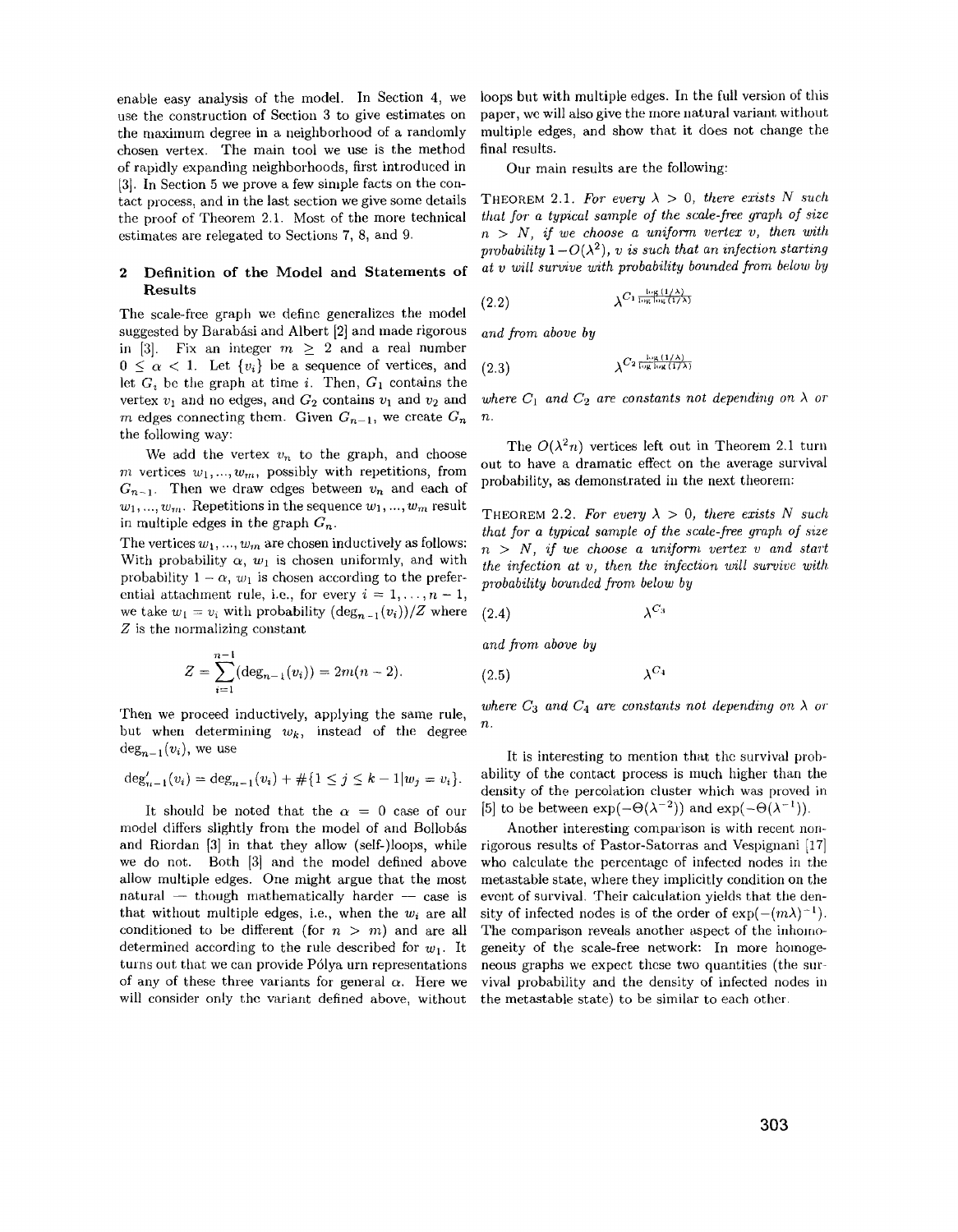enable easy analysis of the model. In Section 4, we use the construction of Section 3 to give estimates on the maximum degree in a neighborhood of a randomly chosen vertex. The main tool we use is the method of rapidly expanding neighborhoods, first introduced in [3]. In Section 5 we prove a few simple facts on the contact process, and in the last section we give some details the proof of Theorem 2.1. Most of the more technical estimates are relegated to Sections 7, 8, and 9.

### 2 Definition of the Model and Statements of Results

The scale-free graph we define generalizes the model suggested by Barabási and Albert [2] and made rigorous in [3]. Fix an integer  $m \geq 2$  and a real number  $0 \leq \alpha < 1$ . Let  $\{v_i\}$  be a sequence of vertices, and let  $G_i$  be the graph at time i. Then,  $G_1$  contains the vertex  $v_1$  and no edges, and  $G_2$  contains  $v_1$  and  $v_2$  and m edges connecting them. Given  $G_{n-1}$ , we create  $G_n$ the following way:

We add the vertex  $v_n$  to the graph, and choose m vertices  $w_1, ..., w_m$ , possibly with repetitions, from  $G_{n-1}$ . Then we draw edges between  $v_n$  and each of  $w_1, ..., w_m$ . Repetitions in the sequence  $w_1, ..., w_m$  result in multiple edges in the graph  $G_n$ .

The vertices  $w_1, ..., w_m$  are chosen inductively as follows: With probability  $\alpha$ ,  $w_1$  is chosen uniformly, and with probability  $1 - \alpha$ ,  $w_1$  is chosen according to the preferential attachment rule, i.e., for every  $i = 1, ..., n - 1$ , we take  $w_1 = v_i$  with probability  $(\deg_{n-1}(v_i))/Z$  where Z is the normalizing constant

$$
Z = \sum_{i=1}^{n-1} (\deg_{n-1}(v_i)) = 2m(n-2).
$$

but when determining  $w_k$ , instead of the degree  $deg_{n-1}(v_i)$ , we use  $I$  is interesting to mention that the survival prob-

$$
\deg_{n-1}'(v_i) = \deg_{n-1}(v_i) + \#\{1 \leq j \leq k-1 | w_j = v_i\}.
$$

model differs slightly from the model of and Bollobas and Riordan [3] in that they allow (self-)Ioops, while we do not. Both [3] and the model defined above allow multiple edges. One might argue that the most natural  $-$  though mathematically harder  $-$  case is that without multiple edges, i.e., when the  $w_i$  are all conditioned to be different (for  $n > m$ ) and are all determined according to the rule described for  $w_1$ . It turns out that we can provide P61ya urn representations of any of these three variants for general  $\alpha$ . Here we will consider only the variant defined above, without

loops but with multiple edges. In the full version of this papcr, we will also give the more natural variant without multiple edges, and show that it does not change the final results.

Our main results are the following:

THEOREM 2.1. For every  $\lambda > 0$ , there exists N such *that JOT a typical sample oj the scale-free graph oj s'ize*   $n > N$ , if we choose a uniform vertex v, then with probability  $1-O(\lambda^2)$ , *v* is such that an infection starting *at v will survive with probab'ility bounded from below by* 

$$
(2.2) \qquad \lambda^{C_1 \frac{\log(1/\lambda)}{\log \log(1/\lambda)}}
$$

*and from above by* 

$$
(2.3) \qquad \qquad \lambda^{C_2 \frac{\log(1/\lambda)}{\log\log(1/\lambda)}}
$$

where  $C_1$  and  $C_2$  are constants not depending on  $\lambda$  or *n.* 

The  $O(\lambda^2 n)$  vertices left out in Theorem 2.1 turn out to have a dramatic effect on the average survival probability, as demonstrated in the next theorem:

THEOREM 2.2. For every  $\lambda > 0$ , there exists N such *that for a typical sample of the scale-free graph of 8'ize*   $n > N$ , if we choose a uniform vertex v and start *the infection at v, then the infection will survive with pmbability bounded from below by* 

$$
(2.4) \t\t \lambda^{C_3}
$$

and from above by

$$
\lambda^{C_4}
$$

Then we proceed inductively, applying the same rule, *where*  $C_3$  *and*  $C_4$  *are constants not depending on*  $\lambda$  *or* 

ability of the contact process is much higher than the density of the percolation cluster which was proved in It should be noted that the  $\alpha = 0$  case of our [5] to be between  $\exp(-\Theta(\lambda^{-2}))$  and  $\exp(-\Theta(\lambda^{-1}))$ .

> Another interesting comparison is with recent nonrigorous results of Pastor-Satorras and Vespignani [17] who calculate the percentage of infected nodes in the metastable state, where they implicitly condition on the event of survival. Their calculation yields that the density of infected nodes is of the order of  $\exp(-(m\lambda)^{-1})$ . The comparison reveals another aspect of the inhomogeneity of the scale-free network: In more homogeneous graphs we expect these two quantities (the survival probability and the density of infected nodes in the metastable state) to be similar to each other.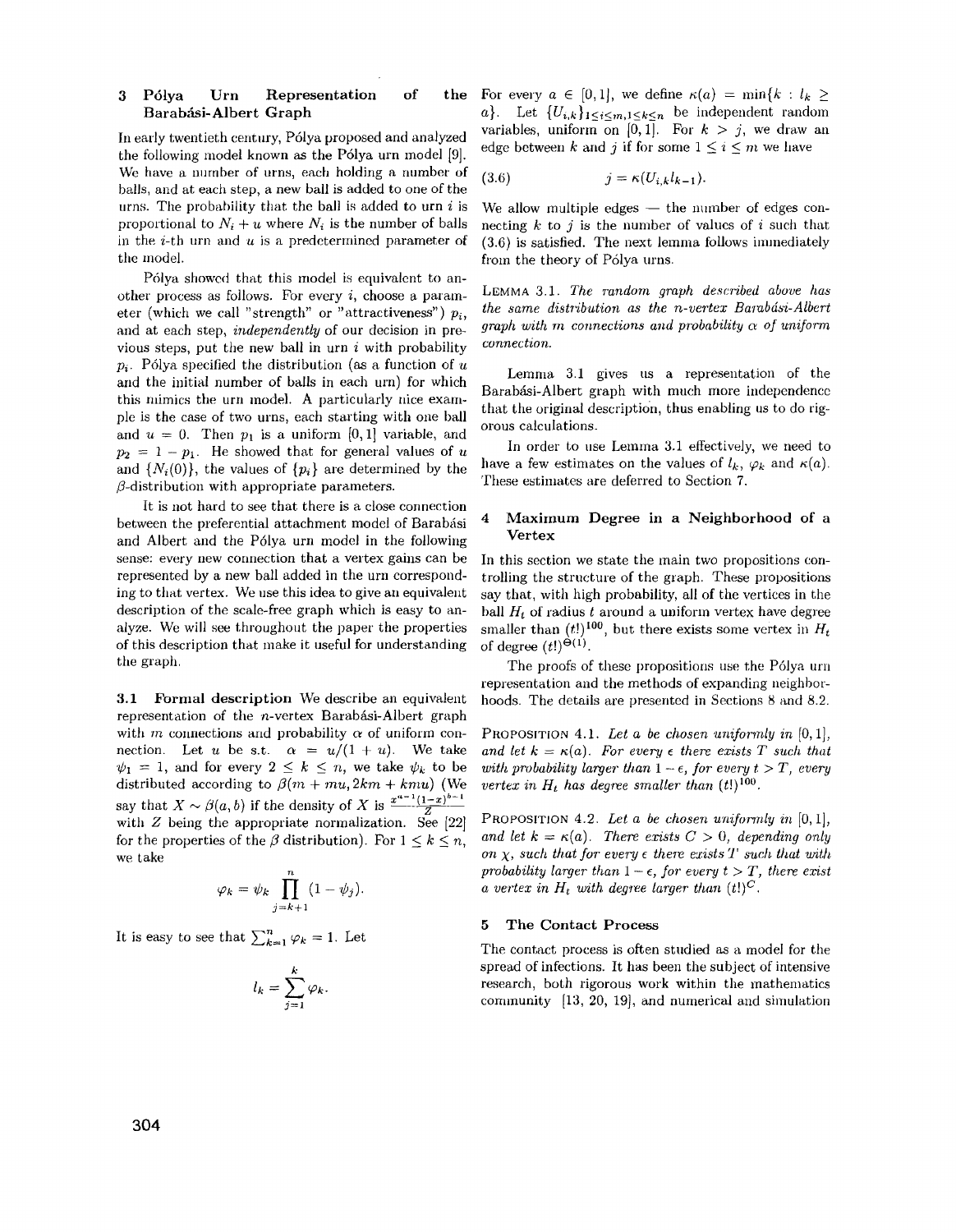# 3 Pólya Urn Representation of Barabási-Albert Graph

In early twentieth century, P6lya proposed and analyzed the following model known as the P6lya urn model [9]. We have a number of urns, each holding a number of balls, and at each step, a new ball is added to one of the urns. The probability that the ball is added to urn  $i$  is proportional to  $N_i + u$  where  $N_i$  is the number of balls in the  $i$ -th urn and  $u$  is a predetermined parameter of the model.

Pólya showed that this model is equivalent to another process as follows. For every  $i$ , choose a parameter (which we call "strength" or "attractiveness")  $p_i$ , and at each step, *independently* of our decision in previous steps, put the new ball in urn  $i$  with probability  $p_i$ . Pólya specified the distribution (as a function of  $u$ ) and the initial number of balls in each urn) for which this mimics the urn model. A particularly nice exam*ple* is the case of two urns, each starting with one ball and  $u = 0$ . Then  $p_1$  is a uniform [0, 1] variable, and  $p_2 = 1 - p_1$ . He showed that for general values of *u* and  $\{N_i(0)\}\$ , the values of  $\{p_i\}$  are determined by the  $\beta$ -distribution with appropriate parameters.

It is not hard to see that there is a close connection between the preferential attachment model of Barabási 4 and Albert and the P6lya urn model in the following sense: every new connection that a vertex gains can be represented by a new ball added in the urn corresponding to that vertex. We use this idea to give an equivalent description of the scale-free graph which is easy to analyze. We will see throughout the paper the properties of this description that make it useful for understanding the graph,

3.1 Formal description We describe an equivalent representation of the  $n$ -vertex Barabási-Albert graph with *m* connections and probability  $\alpha$  of uniform connection. Let *u* be s.t.  $\alpha = u/(1 + u)$ . We take  $\psi_1 = 1$ , and for every  $2 \leq k \leq n$ , we take  $\psi_k$  to be distributed according to  $\beta(m + mu, 2km + kmu)$  (We say that  $X \sim \beta(a, b)$  if the density of X is  $\frac{x^{a-1}(1-x)^{b-1}}{Z}$ with  $Z$  being the appropriate normalization. See  $[22]$ for the properties of the  $\beta$  distribution). For  $1 \leq k \leq n$ , we take

$$
\varphi_k = \psi_k \prod_{j=k+1}^n (1 - \psi_j).
$$

It is easy to see that  $\sum_{k=1}^{n} \varphi_k = 1$ . Let

$$
l_k = \sum_{j=1}^k \varphi_k.
$$

the For every  $a \in [0,1]$ , we define  $\kappa(a) = \min\{k : l_k \geq 1\}$ *a*}. Let  $\{U_{i,k}\}_{1\leq i\leq m,1\leq k\leq n}$  be independent random variables, uniform on  $[0,1]$ . For  $k > j$ , we draw an edge between *k* and *j* if for some  $1 \leq i \leq m$  we have

$$
(3.6) \t\t j = \kappa(U_{i,k}l_{k-1}).
$$

We allow multiple edges  $-$  the number of edges connecting  $k$  to  $j$  is the number of values of i such that (3.6) is satisfied. The next lemma follows immediately from the theory of P6lya urns.

LEMMA 3.1, *The random graph described above has the same distribution as the n-vertex Barabási-Albert graph with m connections and probability*  $\alpha$  *of uniform connection.* 

Lemma 3.1 gives us a representation of the Barabási-Albert graph with much more independence that the original description, thus enabling us to do rigorous calculations.

In order to lise Lemma 3.1 effectively, we need to have a few estimates on the values of  $l_k$ ,  $\varphi_k$  and  $\kappa(a)$ . These estimates are deferred to Section 7.

## Maximum Degree in a Neighborhood of a Vertex

In this section we state the main two propositions controlling the structure of the graph. These propositions say that, with high probability, all of the vertices in the ball  $H_t$  of radius t around a uniform vertex have degree smaller than  $(t!)^{100}$ , but there exists some vertex in  $H_t$  of degree  $(t!)^{\Theta(1)}$ .

The proofs of these propositions use the P61ya urn representation and the methods of expanding neighborhoods. The details are presented in Sections 8 and 8.2,

PROPOSITION 4.1. Let a be chosen uniformly in  $[0, 1]$ , and let  $k = \kappa(a)$ . For every  $\epsilon$  there exists T such that *with probability larger than*  $1 - \epsilon$ , *for every t > T*, *every vertex in*  $H_t$  *has degree smaller than*  $(t!)^{100}$ .

PROPOSITION 4.2. *Let a be chosen unijormly in* [0,1], *and let*  $k = \kappa(a)$ . There exists  $C > 0$ , *depending only on*  $\chi$ , *such that for every*  $\epsilon$  *there exists T such that with probability larger than*  $1 - \epsilon$ , *for every t > T*, *there exist a vertex in*  $H_t$  *with degree larger than*  $(t!)^C$ .

### 5 The Contact Process

The contact process is often studied as a model for the spread of infections. It has been the subject of intensive research, both rigorous work within the mathematics community [13, 20, 19], and numerical and simulation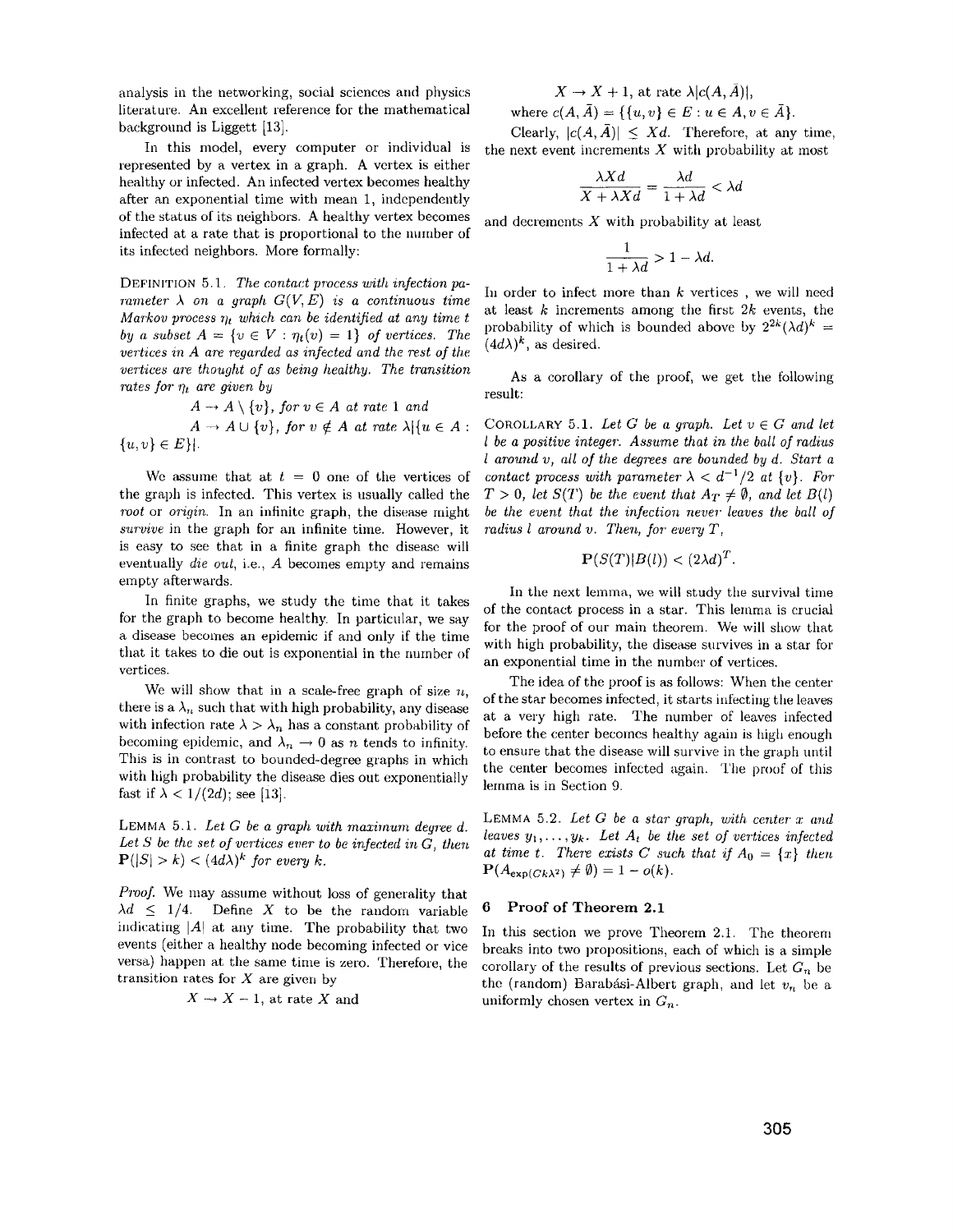analysis in the networking, social sciences and physics literature. An excellent reference for the mathematical background is Liggett [13].

In this model, every computer or individual is represented by a vertex in a graph. A vertex is either healthy or infected. An infected vertex becomes healthy after an exponential time with mean I, independently of the status of its neighbors. A healthy vertex becomes infected at a rate that is proportional to the number of its infected neighbors. More formally:

DEFINITION 5.1. The contact process with infection pa*mameter*  $\lambda$  *on a graph*  $G(V, E)$  *is a continuous time Markov process*  $\eta_t$  which can be identified at any time t *by a subset*  $A = \{v \in V : \eta_t(v) = 1\}$  *of vertices. The vertices in A are regarded as infected and the rest of the vertices are thought of as being healthy. The transition* rates for  $\eta_t$  are given by

$$
A \rightarrow A \setminus \{v\}, \text{ for } v \in A \text{ at rate 1 and } A \rightarrow A \cup \{v\}, \text{ for } v \notin A \text{ at rate } \lambda | \{u \in A :
$$
  

$$
\{u, v\} \in E \} |.
$$

We assume that at  $t = 0$  one of the vertices of the graph is infected. This vertex is usually called the *root* or *origin*. In an infinite graph, the disease might *survive* in the graph for an infinite time. However, it is easy to see that in a finite graph the disease will eventually *die out,* i.e., *A* becomes empty and remains empty afterwards.

In finite graphs, we study the time that it takes for the graph to become healthy. In particular, we say a disease becomes an epidemic if and only if the time that it takes to die out is exponential in the number of vertices.

We will show that in a scale-free graph of size *n,*  there is a  $\lambda_n$  such that with high probability, any disease with infection rate  $\lambda > \lambda_n$  has a constant probability of becoming epidemic, and  $\lambda_n \to 0$  as *n* tends to infinity. This is in contrast to bounded-degree graphs in which with high probability the disease dies out exponentially fast if  $\lambda < 1/(2d)$ ; see [13].

LEMMA  $5.1.$  *Let G be a graph with maximum degree d.* Let  $S$  be the set of vertices ever to be infected in  $G$ , then  $P(|S| > k) < (4d\lambda)^k$  for every k.

*Proof.* We may assume without loss of generality that  $\lambda d \leq 1/4$ . Define X to be the random variable 6 Proof of Theorem 2.1 indicating  $|A|$  at any time. The probability that two events (either a healthy node becoming infected or vice versa) happen at the same time is zero. Therefore, the transition rates for  $X$  are given by

$$
X \rightarrow X - 1
$$
, at rate X and

 $X \to X + 1$ , at rate  $\lambda |c(A, \overline{A})|$ ,

where  $c(A, \overline{A}) = \{ \{u, v\} \in E : u \in A, v \in \overline{A} \}.$ 

Clearly,  $|c(A,\overline{A})| \leq Xd$ . Therefore, at any time, the next event increments  $X$  with probability at most

$$
\frac{\lambda Xd}{X + \lambda Xd} = \frac{\lambda d}{1 + \lambda d} < \lambda d
$$

and decrements  $X$  with probability at least  $\frac{1}{1+\lambda d} > 1-\lambda d.$ 

$$
\frac{1}{1+\lambda d} > 1 - \lambda d.
$$

In order to infect more than *k* vertices , we will need at least  $k$  increments among the first  $2k$  events, the probability of which is bounded above by  $2^{2k}(\lambda d)^k =$  $(4d\lambda)^k$ , as desired.

As a corollary of the proof, we get the following result:

COROLLARY 5.1. Let G be a graph. Let  $v \in G$  and let *l* be a positive integer. Assume that in the ball of radius *l* around *v*, all of the degrees are bounded by d. Start a *contact process with parameter*  $\lambda < d^{-1}/2$  *at*  $\{v\}$ *. For*  $T > 0$ , *let*  $S(T)$  *be the event that*  $A_T \neq \emptyset$ , *and let*  $B(l)$ *be the event that the infection never leaves the ball of radius l around v. Then, for every T,* 

$$
\mathbf{P}(S(T)|B(l)) < (2\lambda d)^T.
$$

In the next lemma, we will study the survival time of the contact process in a star. This lemma is crucial for the proof of our main theorem. We will show that with high probability, the disease survives in a star for an exponential time in the number of vertices.

The idea of the proof is as follows: When the center of the star becomes infected, it starts infecting the leaves at a very high rate. The number of leaves infected before the center becomcs healthy again is high enough to ensure that the disease will survive in the graph until the center becomes infccted again. The proof of this lemma is in Section 9.

LEMMA 5.2. Let G be a star graph, with center x and *leaves*  $y_1, \ldots, y_k$ . Let  $A_t$  be the set of vertices infected at time *t*. There exists *C* such that if  $A_0 = \{x\}$  then  $P(A_{\exp(Ck\lambda^2)} \neq \emptyset) = 1 - o(k).$ 

In this section we prove Theorem 2.1. The theorem breaks into two propositions, each of which is a simple corollary of the results of previous sections. Let  $G_n$  be the (random) Barabási-Albert graph, and let  $v_n$  be a uniformly chosen vertex in  $G_n$ .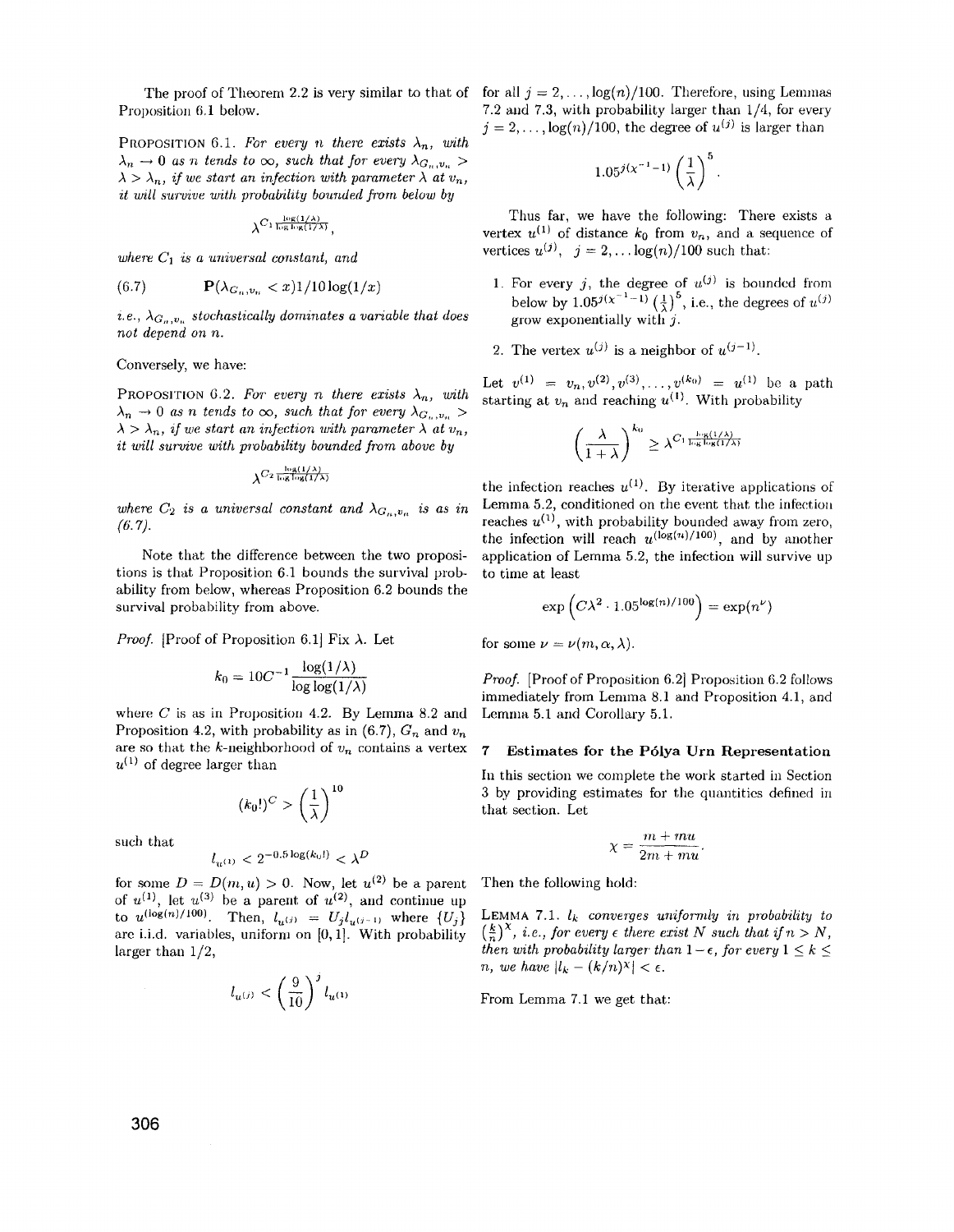Proposition 6.1 below. 7.2 and 7.3, with probability larger than 1/4, for every

PROPOSITION 6.1. For every *n* there exists  $\lambda_n$ , with  $\lambda_n \to 0$  *as n tends to*  $\infty$ , *such that for every*  $\lambda_{G_n,v_n}$  $\lambda > \lambda_n$ , *if we start an infection with parameter*  $\lambda$  *at*  $v_n$ , *it will survive with probability bounded from below by* 

 $\lambda^{C_1 \frac{\log(1/\lambda)}{\log\log(1/\lambda)}}$ .

where  $C_1$  *is a universal constant, and* 

$$
(6.7) \qquad \mathbf{P}(\lambda_{G_n,v_n} < x) \frac{1}{10 \log(1/x)}
$$

*i.e.,*  $\lambda_{G_n,v_n}$  stochastically dominates a variable that does *not depend on n.* 

Conversely, we have:

PROPOSITION 6.2. For every *n* there exists  $\lambda_n$ , with  $\lambda_n \to 0$  *as n tends to*  $\infty$ , *such that for every*  $\lambda_{G_n,v_n}$  $\lambda > \lambda_n$ , if we start an infection with parameter  $\lambda$  at  $v_n$ , *it will survive with probability bounded from above by* 

 $\lambda^{C_2} \frac{\log(1/\lambda)}{\log \log(1/\lambda)}$ 

where  $C_2$  is a universal constant and  $\lambda_{G_n,v_n}$  is as in  $(6.7)$ .

Note that the difference between the two propositions is that Proposition 6.1 bounds the survival probability from below, whereas Proposition 6.2 bounds the survival probability from above.

*Proof.* [Proof of Proposition 6.1] Fix  $\lambda$ . Let

$$
k_0 = 10C^{-1} \frac{\log(1/\lambda)}{\log \log(1/\lambda)}
$$

where *C* is as in Proposition 4.2. By Lemma 8.2 and Proposition 4.2, with probability as in (6.7),  $G_n$  and  $v_n$ are so that the k-neighborhood of  $v_n$  contains a vertex  $u^{(1)}$  of degree larger than

$$
(k_0!)^C > \left(\frac{1}{\lambda}\right)^{10}
$$

such that

$$
l_{u^{(1)}} < 2^{-0.5 \log(k_0!)} < \lambda^D
$$

for some  $D = D(m, u) > 0$ . Now, let  $u^{(2)}$  be a parent of  $u^{(1)}$ , let  $u^{(3)}$  be a parent of  $u^{(2)}$ , and continue up to  $u^{(\log(n)/100)}$ . Then,  $l_{u^{(j)}} = U_j l_{u^{(j-1)}}$  where  $\{U_j\}$ are i.i.d. variables, uniform on  $[0,1]$ . With probability larger than 1/2,

$$
l_{u^{(j)}} < \left(\frac{9}{10}\right)^j l_{u^{(1)}}
$$

The proof of Theorem 2.2 is very similar to that of for all  $j = 2, \ldots, \log(n)/100$ . Therefore, using Lemmas  $j = 2, \ldots, \log(n)/100$ , the degree of  $u^{(j)}$  is larger than

$$
1.05^{j(x^{-1}-1)}\left(\frac{1}{\lambda}\right)^5.
$$

Thus far, we have the following: There exists a vertex  $u^{(1)}$  of distance  $k_0$  from  $v_n$ , and a sequence of vertices  $u^{(j)}$ ,  $j = 2,... \log(n)/100$  such that:

- 1. For every  $j$ , the degree of  $u^{(j)}$  is bounded from below by  $1.05^{j(x^{-1}-1)} \left(\frac{1}{2}\right)^5$ , i.e., the degrees of  $u^{(j)}$ grow exponentially with *j.*
- 2. The vertex  $u^{(j)}$  is a neighbor of  $u^{(j-1)}$ .

Let  $v^{(1)} = v_n, v^{(2)}, v^{(3)}, \ldots, v^{(k_0)} = u^{(1)}$  be a path starting at  $v_n$  and reaching  $u^{(1)}$ . With probability

$$
\left(\frac{\lambda}{1+\lambda}\right)^{k_0} \geq \lambda^{C_1 \frac{\log(1/\lambda)}{\log\log(1/\lambda)}}
$$

the infection reaches  $u^{(1)}$ . By iterative applications of Lemma 5.2, conditioned on the event that the infection reaches  $u^{(1)}$ , with probability bounded away from zero, the infection will reach  $u^{(\log(n)/100)}$ , and by another application of Lemma 5.2, the infection will survive up to time at least

$$
\exp\left(C\lambda^2\cdot 1.05^{\log(n)/100}\right)=\exp(n^{\nu})
$$

for some  $\nu = \nu(m, \alpha, \lambda)$ .

*Proof.* [Proof of Proposition 6.2] Proposition 6.2 follows immediately from Lemma 8.1 and Proposition 4.1, and Lemma 5.1 and Corollary 5.1.

### 7 Estimates **for** the **P61ya Urn** Representation

In this section we complete the work started in Section 3 by providing estimates for the quantities defined in that section. Let

$$
\chi = \frac{m + mu}{2m + mu}.
$$

Then the following hold:

LEMMA 7.1.  $l_k$  *converges uniformly in probability to*  $(\frac{k}{n})^{\chi}$ , *i.e.*, *for every*  $\epsilon$  *there exist* N *such that if*  $n > N$ , *then with probability larger-than*  $1 - \epsilon$ , *for every*  $1 \leq k \leq$ *n*, *we have*  $|l_k - (k/n)^{\chi}| < \epsilon$ .

From Lemma 7.1 we get that: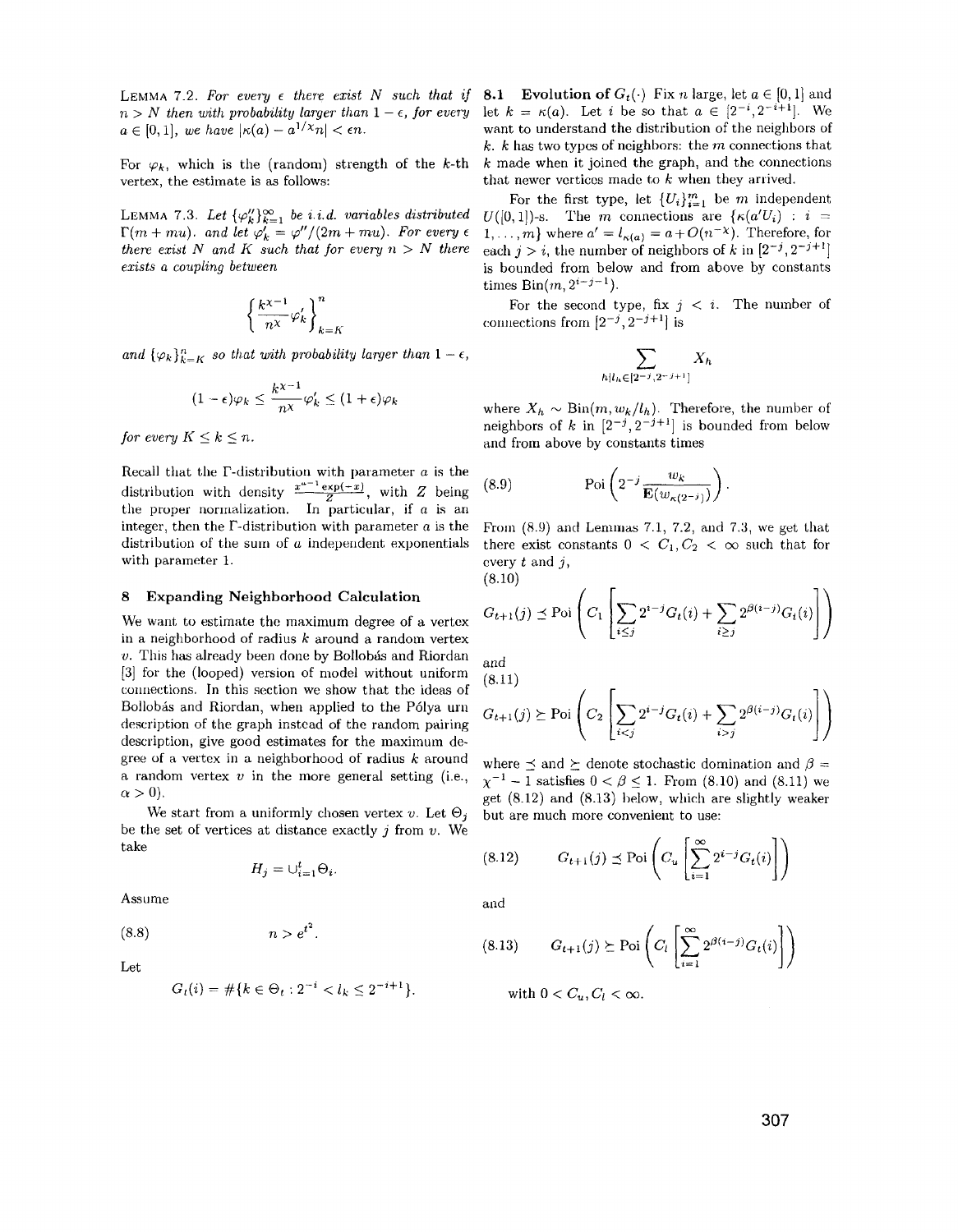$n>N$  then with probability larger than  $1 - \epsilon$ , for every let  $k = \kappa(a)$ . Let i be so that  $a \in [2^{-i}, 2^{-i+1}]$ . We  $a \in [0,1]$ , we have  $|\kappa(a) - a^{1/\chi}n| < \epsilon n$ . want to understand the distribution of the neighbors of

vertex, the estimate is as follows: that newer vertices made to *k* when they arrived.

LEMMA 7.3. Let  $\{\varphi_k''\}_{k=1}^{\infty}$  *be i.i.d. variables distributed*  $\Gamma(m + mu)$ . and let  $\varphi'_{k} = \varphi''/(2m + mu)$ . For every  $\epsilon$ *there exist* N and K such that for every  $n > N$  there *exists a coupling between* 

$$
\left\{\frac{k^{\chi-1}}{n^\chi}\varphi_k'\right\}_{k=K}^n
$$

*and*  $\{\varphi_k\}_{k=K}^n$  so that with probability larger than  $1 - \epsilon$ ,

$$
(1-\epsilon)\varphi_k \leq \frac{k^{\chi-1}}{n^{\chi}}\varphi'_k \leq (1+\epsilon)\varphi_k
$$

*for every*  $K \leq k \leq n$ .

Recall that the  $\Gamma$ -distribution with parameter *a* is the distribution with density  $\frac{x^{u-1} \exp(-x)}{z}$ , with *Z* being the proper normalization. In particular, if *a* is an integer, then the  $\Gamma$ -distribution with parameter  $a$  is the distribution of the sum of *a* independent exponentials with parameter 1.

## 8 Expanding Neighborhood Calculation

We want to estimate the maximum degree of a vertex in a neighborhood of radius *k* around a random vertex *v*. This has already been done by Bollobás and Riordan [3] for the (looped) version of model without uniform connections, In this section we show that the ideas of Bollobas and Riordan, when applied to the P6lya urn description of the graph instead of the random pairing description, give good estimates for the maximum degree of a vertex in a neighborhood of radius *k* around a random vertex *v* in the more general setting (i.e.,  $\alpha > 0$ ).

We start from a uniformly chosen vertex  $v.$  Let  $\Theta_j$ be the set of vertices at distance exactly  $j$  from  $v$ . We take

$$
H_j=\cup_{i=1}^t \Theta_i.
$$

Assume

 $n > e^{t^2}$ . (8.8)

Let

$$
G_t(i) = #\{k \in \Theta_t : 2^{-i} < l_k \leq 2^{-i+1}\}.
$$

LEMMA 7.2. For every  $\epsilon$  there exist N such that if **8.1** Evolution of  $G_t(\cdot)$  Fix *n* large, let  $a \in [0,1]$  and *k. k* has two types of neighbors: the m connections that For  $\varphi_k$ , which is the (random) strength of the k-th k made when it joined the graph, and the connections

> For the first type, let  $\{U_i\}_{i=1}^m$  be  $m$  independent  $U([0,1])$ -s. The *m* connections are  $\{\kappa(a'U_i) : i =$  $1, \ldots, m$ } where  $a' = l_{\kappa(a)} = a + O(n^{-\chi})$ . Therefore, for each  $j > i$ , the number of neighbors of *k* in  $[2^{-j}, 2^{-j+1}]$ is bounded from below and from above by constants times  $Bin(m, 2^{i-j-1})$ .

> For the second type, fix  $j < i$ . The number of connections from  $[2^{-j}, 2^{-j+1}]$  is

$$
\sum_{h|l_h\in[2^{-j},2^{-j+1}]}X_h
$$

where  $X_h \sim \text{Bin}(m, w_k/l_h)$ . Therefore, the number of neighbors of k in  $[2^{-j}, 2^{-j+1}]$  is bounded from below and from above by constants times

(8.9) 
$$
\operatorname{Poi}\left(2^{-j}\frac{w_k}{\mathbf{E}(w_{\kappa(2^{-j})})}\right).
$$

From  $(8.9)$  and Lemmas 7.1, 7.2, and 7.3, we get that there exist constants  $0 < C_1, C_2 < \infty$  such that for every  $t$  and  $j$ ,

(8.10)  

$$
G_{t+1}(j) \preceq \text{Poi}\left(C_1 \left[ \sum_{i \leq j} 2^{i-j} G_t(i) + \sum_{i \geq j} 2^{\beta(i-j)} G_t(i) \right] \right)
$$

and  $(9.11)$ 

$$
G_{t+1}(j) \succeq \text{Poi}\left(C_2 \left[ \sum_{i < j} 2^{i-j} G_t(i) + \sum_{i > j} 2^{\beta(i-j)} G_t(i) \right] \right)
$$

where  $\preceq$  and  $\succeq$  denote stochastic domination and  $\beta=$  $\chi^{-1} - 1$  satisfies  $0 < \beta \leq 1$ . From (8.10) and (8.11) we get (8.12) and (8.13) helow, which are slightly weaker but are much more convenient to use:

(8.12) 
$$
G_{t+1}(j) \preceq \mathrm{Poi}\left(C_u \left[\sum_{i=1}^{\infty} 2^{i-j} G_t(i)\right]\right)
$$

and

 $($ 

$$
8.13) \t G_{t+1}(j) \succeq \mathrm{Poi}\left(C_t \left[\sum_{i=1}^{\infty} 2^{\beta(i-j)} G_t(i)\right]\right)
$$

with 
$$
0 < C_u, C_l < \infty
$$
.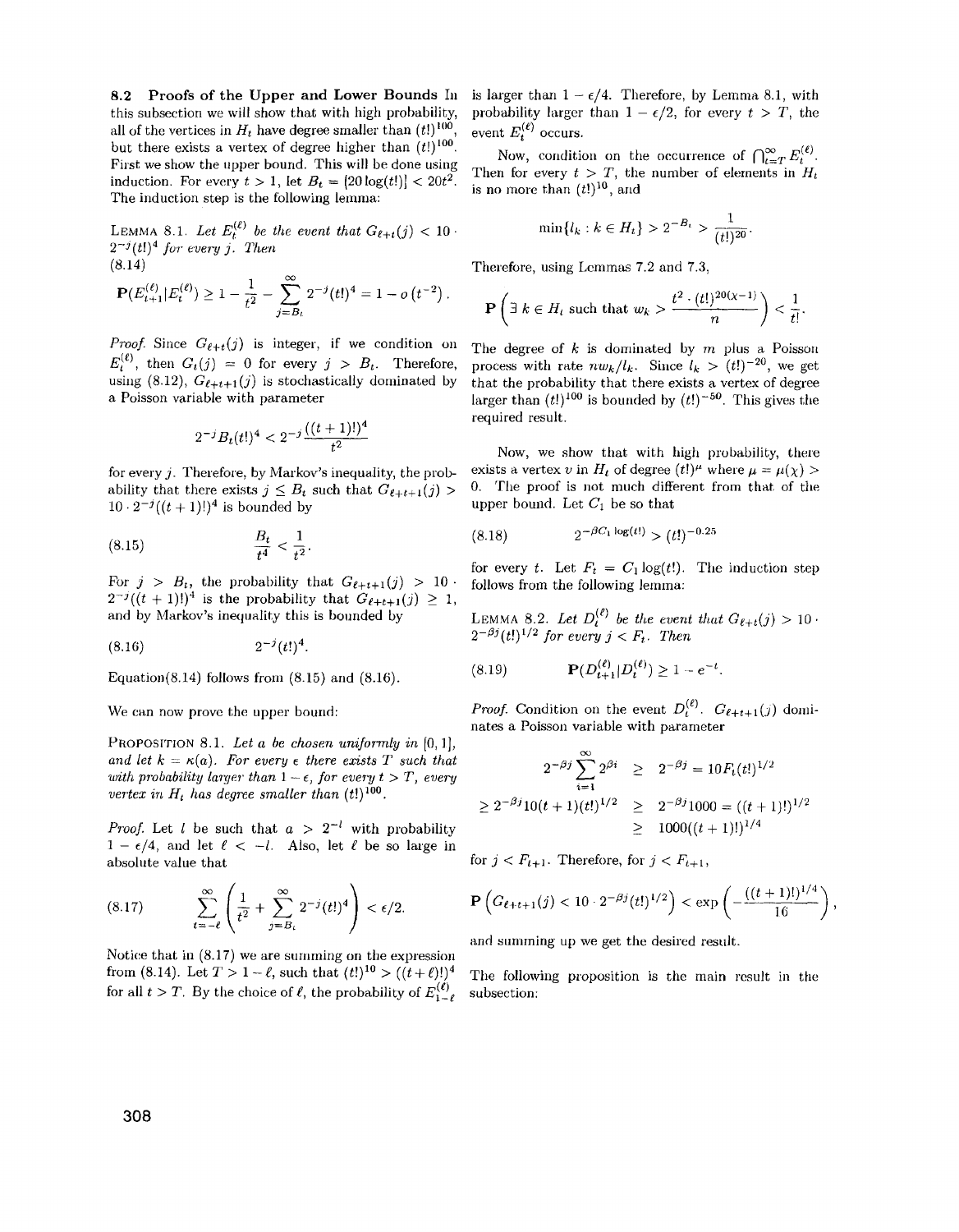8.2 Proofs of the Upper and Lower Bounds In this subsection we will show that with high probability, all of the vertices in  $H_t$  have degree smaller than  $(t!)^{100}$ but there exists a vertex of degree higher than  $(t!)^{100}$ First we show the upper bound. This will be done using induction. For every  $t > 1$ , let  $B_t = [20 \log(t!)] < 20t^2$ . The induction step is the following lemma:

LEMMA 8.1. Let  $E_t^{(\ell)}$  be the event that  $G_{\ell+t}(j) < 10$ .  $2^{-j}$  $(t!)^4$  for every j. Then (8.14)

$$
\mathbf{P}(E_{t+1}^{(\ell)}|E_t^{(\ell)}) \geq 1 - \frac{1}{t^2} - \sum_{j=B_\ell}^{\infty} 2^{-j} (t!)^4 = 1 - o(t^{-2}).
$$

*Proof.* Since  $G_{\ell+t}(j)$  is integer, if we condition on  $E_t^{(\ell)}$ , then  $G_t(j) = 0$  for every  $j > B_t$ . Therefore, using (8.12),  $G_{\ell+t+1}(j)$  is stochastically dominated by a Poisson variable with parameter

$$
2^{-j}B_t(t!)^4 < 2^{-j}\frac{((t+1)!)^4}{t^2}
$$

for every *j.* Therefore, by Markov's inequality, the probability that there exists  $j \leq B_t$  such that  $G_{\ell+t+1}(j)$  $10 \cdot 2^{-j} ((t + 1)!)^4$  is bounded by

(8.15) 
$$
\frac{B_t}{t^4} < \frac{1}{t^2}.
$$

For  $j > B_t$ , the probability that  $G_{\ell+t+1}(j) > 10$  follows from the following lemma:  $2^{-j}((t+1)!)^4$  is the probability that  $G_{\ell+t+1}(j) \geq 1$ , and by Markov's inequality this is bounded by

$$
(8.16) \t\t 2^{-j}(t!)^4.
$$

Equation(8.14) follows from  $(8.15)$  and  $(8.16)$ .

We can now prove the upper bound:

PROPOSITION 8.1. Let a be chosen uniformly in [0, 1], and let  $k = \kappa(a)$ . For every  $\epsilon$  there exists T such that *with probability larger than*  $1 - \epsilon$ , *for every t > T*, *every vertex in*  $H_t$  *has degree smaller than*  $(t!)^{100}$ .

*Proof.* Let *l* be such that  $a > 2^{-l}$  with probability  $1 - \epsilon/4$ , and let  $\ell < -l$ . Also, let  $\ell$  be so large in absolute value that

$$
(8.17) \qquad \sum_{t=-\ell}^{\infty} \left( \frac{1}{t^2} + \sum_{j=B_{\ell}}^{\infty} 2^{-j} (t!)^4 \right) < \epsilon/2.
$$

Notice that in  $(8.17)$  we are summing on the expression from (8.14). Let  $T > 1-\ell$ , such that  $(t!)^{10} > ((t+\ell)!)^4$  The following proposition is the main result in the for all  $t > T$ . By the choice of  $\ell$ , the probability of  $E_{1-\ell}^{(\ell)}$  subsection:

is larger than  $1 - \epsilon/4$ . Therefore, by Lemma 8.1, with probability larger than  $1 - \epsilon/2$ , for every  $t > T$ , the event  $E_{t}^{(\ell)}$  occurs.

Now, condition on the occurrence of  $\bigcap_{k=T}^{\infty} E_t^{(\ell)}$ . Then for every  $t > T$ , the number of elements in  $H_t$ is no more than  $(t!)^{10}$ , and

$$
\min\{l_k : k \in H_t\} > 2^{-B_t} > \frac{1}{(t!)^{20}}.
$$

Therefore, using Lemmas 7.2 and 7.3,

$$
\mathbf{P}\left(\exists k \in H_t \text{ such that } w_k > \frac{t^2 \cdot (t!)^{20(\chi-1)}}{n}\right) < \frac{1}{t!}.
$$

The degree of  $k$  is dominated by  $m$  plus a Poisson process with rate  $nw_k/l_k$ . Since  $l_k > (t!)^{-20}$ , we get that the probability that there exists a vertex of degree larger than  $(t!)^{100}$  is bounded by  $(t!)^{-50}$ . This gives the required result.

Now, we show that with high probability, there exists a vertex *v* in  $H_t$  of degree  $(t!)^\mu$  where  $\mu = \mu(\chi) >$ O. The proof is not much different from that of the upper bound. Let  $C_1$  be so that

$$
(8.18) \t2^{-\beta C_1 \log(t!)} > (t!)^{-0.25}
$$

for every *t*. Let  $F_t = C_1 \log(t!)$ . The induction step follows from the following lemma:

LEMMA 8.2. Let  $D_t^{(\epsilon)}$  be the event that  $G_{\ell+t}(j) > 10$ .  $2^{-\beta j} (t!)^{1/2}$  for every  $j < F_t$ . Then

(8.19)

*Proof.* Condition on the event  $D_t^{(\ell)}$ .  $G_{\ell+t+1}(j)$  dominates a Poisson variable with parameter

$$
2^{-\beta j} \sum_{i=1}^{\infty} 2^{\beta i} \ge 2^{-\beta j} = 10 F_t(t!)^{1/2}
$$
  
\n
$$
\ge 2^{-\beta j} 10(t+1)(t!)^{1/2} \ge 2^{-\beta j} 1000 = ((t+1)!)^{1/2}
$$
  
\n
$$
\ge 1000((t+1)!)^{1/4}
$$

for  $j < F_{t+1}$ . Therefore, for  $j < F_{t+1}$ ,

$$
\mathbf{P}\left(G_{\ell+t+1}(j) < 10 \cdot 2^{-\beta j} (t!)^{1/2}\right) < \exp\left(-\frac{((t+1)!)^{1/4}}{16}\right),
$$

and summing up we get the desired result.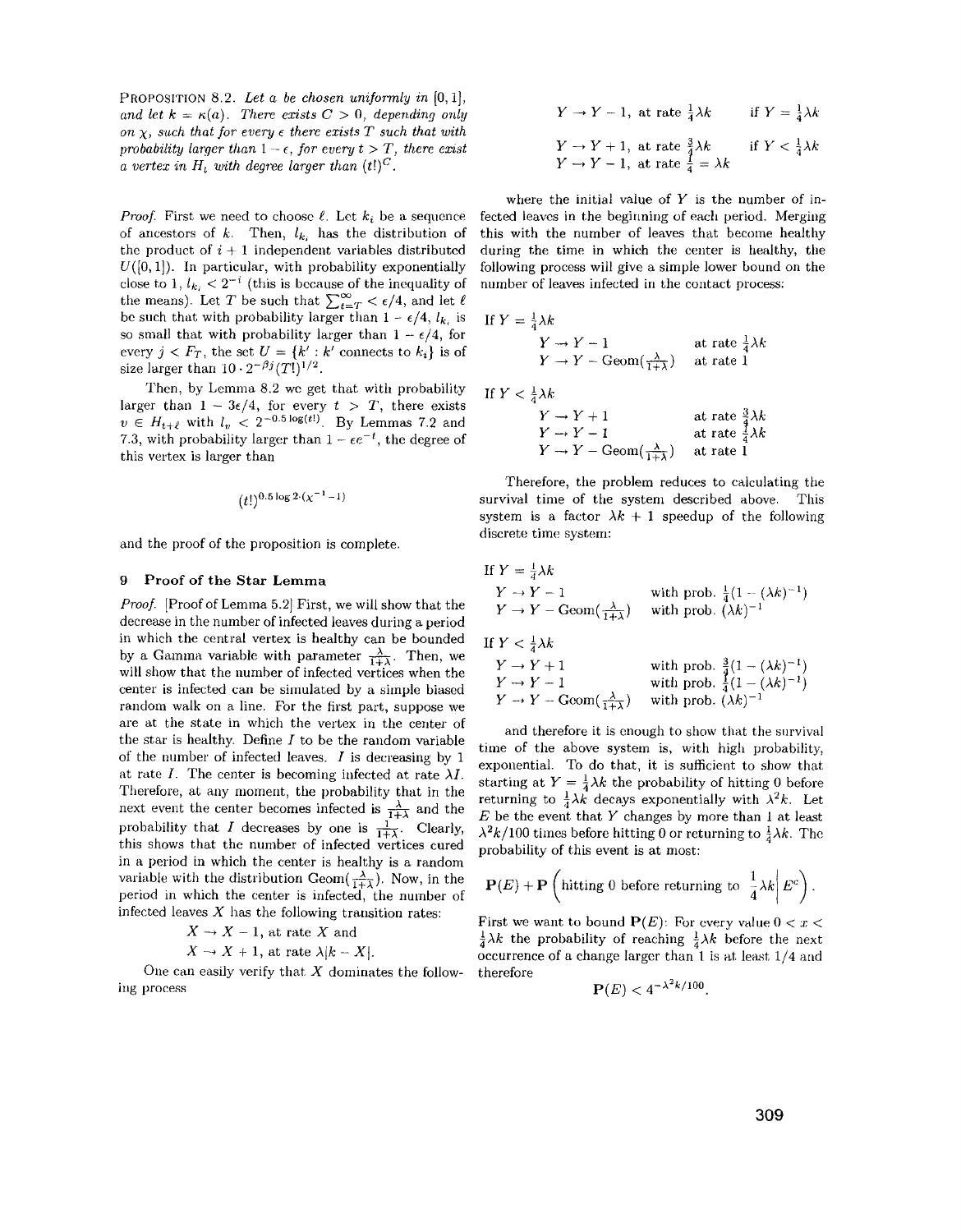PROPOSITION 8.2. Let a be chosen uniformly in [0,1], and let  $k = \kappa(a)$ . There exists  $C > 0$ , *depending only on*  $\chi$ , such that for every  $\epsilon$  there exists T such that with *probability larger than*  $1 - \epsilon$ , *for every t > T*, *there exist a vertex in*  $H_t$  *with degree larger than*  $(t!)^C$ .

*Proof.* First we need to choose  $\ell$ . Let  $k_i$  be a sequence of ancestors of  $k$ . Then,  $l_k$  has the distribution of the product of  $i + 1$  independent variables distributed  $U([0,1])$ . In particular, with probability exponentially close to 1,  $l_{k_i} < 2^{-i}$  (this is because of the inequality of the means). Let *T* be such that  $\sum_{t=T}^{\infty} \epsilon/4$ , and let  $\ell$ be such that with probability larger than  $1 - \epsilon/4$ ,  $l_{k_i}$  is so small that with probability larger than  $1 - \epsilon/4$ , for every  $j < F_T$ , the set  $U = \{k' : k' \text{ connects to } k_i\}$  is of size larger than  $10 \cdot 2^{-\beta j} (T!)^{1/2}$ .

Then, by Lemma 8.2 we get that with probability larger than  $1 - 3\epsilon/4$ , for every  $t > T$ , there exists  $v \in H_{t+\ell}$  with  $l_v < 2^{-0.5 \log(t!)}$ . By Lemmas 7.2 and 7.3, with probability larger than  $1 - \epsilon e^{-t}$ , the degree of this vertex is larger than

$$
(t!)^{0.5 \log 2 \cdot (\chi^{-1} - 1)}
$$

and the proof of the proposition is complete.

### 9 Proof of the Star Lemma

*Proof.* [Proof of Lemma 5.2] First, we will show that the decrease in the number of infected leaves during a period in which the central vertex is healthy can be bounded by a Gamma variable with parameter  $\frac{\lambda}{1+\lambda}$ . Then, we will show that the number of infected vertices when the center is infected can be simulated by a simple biased random walk on a line. For the first part, suppose we are at the state in which the vertex in the center of the star is healthy. Define  $I$  to be the random variable of the number of infected leaves. I is decreasing by 1 at rate *I*. The center is becoming infected at rate  $\lambda I$ . Therefore, at any moment, the probability that in the next event the center becomes infected is  $\frac{\lambda}{1+\lambda}$  and the probability that I decreases by one is  $\frac{1}{1+\lambda}$ . Clearly, this shows that the number of infected vertices cured in a period in which the center is healthy is a random variable with the distribution Geom $(\frac{\lambda}{1+\lambda})$ . Now, in the period in which the center is infected, the number of infected leaves  $X$  has the following transition rates:

$$
X \to X - 1
$$
, at rate X and

$$
X \to X + 1
$$
, at rate  $\lambda |k - X|$ .

One can easily verify that *X* dominates the following process

$$
Y \to Y - 1, \text{ at rate } \frac{1}{4}\lambda k \qquad \text{if } Y = \frac{1}{4}\lambda k
$$
  

$$
Y \to Y + 1, \text{ at rate } \frac{3}{4}\lambda k \qquad \text{if } Y < \frac{1}{4}\lambda k
$$
  

$$
Y \to Y - 1, \text{ at rate } \frac{1}{4} = \lambda k
$$

where the initial value of *Y* is the number of infected leaves in the beginning of each period. Merging this with the number of leaves that become healthy during the time in which the center is healthy, the following process will give a simple lower bound on the number of leaves infected in the contact process;

$$
Y = \frac{1}{4}\lambda k
$$
  
\n
$$
Y \rightarrow Y - 1
$$
  
\n
$$
Y \rightarrow Y - \text{Geom}(\frac{\lambda}{1+\lambda})
$$
 at rate  $\frac{1}{4}\lambda k$ 

If  $Y < \frac{1}{4}\lambda k$ 

 $If$ 

$$
\begin{array}{ll}\nY \to Y + 1 & \text{at rate } \frac{3}{4}\lambda k \\
Y \to Y - 1 & \text{at rate } \frac{1}{4}\lambda k \\
Y \to Y - \text{Geom}(\frac{\lambda}{1+\lambda}) & \text{at rate } 1\n\end{array}
$$

Therefore, the problem reduces to calculating the survival time of the system described above. This system is a factor  $\lambda k + 1$  speedup of the following discrete time system;

If 
$$
Y = \frac{1}{4}\lambda k
$$
  
\n $Y \rightarrow Y - 1$  with prob.  $\frac{1}{4}(1 - (\lambda k)^{-1})$   
\n $Y \rightarrow Y - \text{Geom}(\frac{\lambda}{1 + \lambda})$  with prob.  $(\lambda k)^{-1}$   
\nIf  $Y < \frac{1}{4}\lambda k$   
\n $Y \rightarrow Y + 1$  with prob.  $\frac{3}{4}(1 - (\lambda k)^{-1})$   
\n $Y \rightarrow Y - 1$  with prob.  $\frac{1}{4}(1 - (\lambda k)^{-1})$   
\n $Y \rightarrow Y - \text{Geom}(\frac{\lambda}{1 + \lambda})$  with prob.  $(\lambda k)^{-1}$ 

and therefore it is enough to show that the survival time of the above system is, with high probability, exponential. To do that, it is sufficient to show that starting at  $Y = \frac{1}{4}\lambda k$  the probability of hitting 0 before returning to  $\frac{1}{4}\lambda k$  decays exponentially with  $\lambda^2 k$ . Let  $E$  be the event that  $Y$  changes by more than 1 at least  $\lambda^2 k/100$  times before hitting 0 or returning to  $\frac{1}{4}\lambda k$ . The probability of this event is at most;

$$
\mathbf{P}(E) + \mathbf{P}\left(\text{hitting 0 before returning to }\frac{1}{4}\lambda k \middle| E^c\right).
$$

First we want to bound  $P(E)$ : For every value  $0 < x <$  $\frac{1}{4}\lambda k$  the probability of reaching  $\frac{1}{4}\lambda k$  before the next occurrence of a change larger than 1 is at least  $1/4$  and therefore

$$
\mathbf{P}(E) < 4^{-\lambda^2 k / 100}.
$$